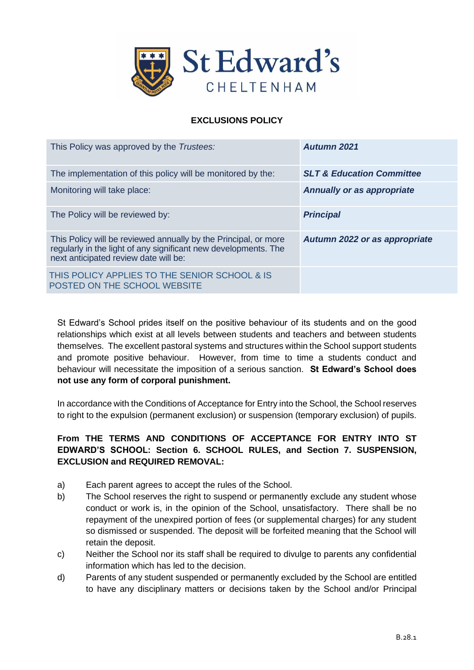

# **EXCLUSIONS POLICY**

| This Policy was approved by the Trustees:                                                                                                                                   | Aufumn 2021                          |
|-----------------------------------------------------------------------------------------------------------------------------------------------------------------------------|--------------------------------------|
| The implementation of this policy will be monitored by the:                                                                                                                 | <b>SLT &amp; Education Committee</b> |
| Monitoring will take place:                                                                                                                                                 | <b>Annually or as appropriate</b>    |
| The Policy will be reviewed by:                                                                                                                                             | <b>Principal</b>                     |
| This Policy will be reviewed annually by the Principal, or more<br>regularly in the light of any significant new developments. The<br>next anticipated review date will be: | Autumn 2022 or as appropriate        |
| THIS POLICY APPLIES TO THE SENIOR SCHOOL & IS<br>POSTED ON THE SCHOOL WEBSITE                                                                                               |                                      |

St Edward's School prides itself on the positive behaviour of its students and on the good relationships which exist at all levels between students and teachers and between students themselves. The excellent pastoral systems and structures within the School support students and promote positive behaviour. However, from time to time a students conduct and behaviour will necessitate the imposition of a serious sanction. **St Edward's School does not use any form of corporal punishment.**

In accordance with the Conditions of Acceptance for Entry into the School, the School reserves to right to the expulsion (permanent exclusion) or suspension (temporary exclusion) of pupils.

# **From THE TERMS AND CONDITIONS OF ACCEPTANCE FOR ENTRY INTO ST EDWARD'S SCHOOL: Section 6. SCHOOL RULES, and Section 7. SUSPENSION, EXCLUSION and REQUIRED REMOVAL:**

- a) Each parent agrees to accept the rules of the School.
- b) The School reserves the right to suspend or permanently exclude any student whose conduct or work is, in the opinion of the School, unsatisfactory. There shall be no repayment of the unexpired portion of fees (or supplemental charges) for any student so dismissed or suspended. The deposit will be forfeited meaning that the School will retain the deposit.
- c) Neither the School nor its staff shall be required to divulge to parents any confidential information which has led to the decision.
- d) Parents of any student suspended or permanently excluded by the School are entitled to have any disciplinary matters or decisions taken by the School and/or Principal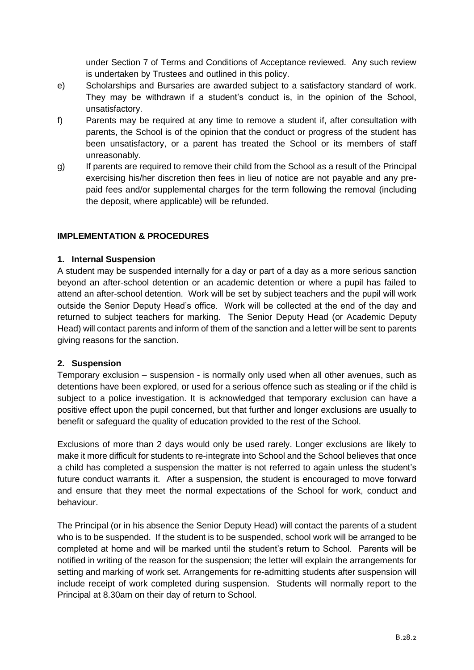under Section 7 of Terms and Conditions of Acceptance reviewed. Any such review is undertaken by Trustees and outlined in this policy.

- e) Scholarships and Bursaries are awarded subject to a satisfactory standard of work. They may be withdrawn if a student's conduct is, in the opinion of the School, unsatisfactory.
- f) Parents may be required at any time to remove a student if, after consultation with parents, the School is of the opinion that the conduct or progress of the student has been unsatisfactory, or a parent has treated the School or its members of staff unreasonably.
- g) If parents are required to remove their child from the School as a result of the Principal exercising his/her discretion then fees in lieu of notice are not payable and any prepaid fees and/or supplemental charges for the term following the removal (including the deposit, where applicable) will be refunded.

### **IMPLEMENTATION & PROCEDURES**

#### **1. Internal Suspension**

A student may be suspended internally for a day or part of a day as a more serious sanction beyond an after-school detention or an academic detention or where a pupil has failed to attend an after-school detention. Work will be set by subject teachers and the pupil will work outside the Senior Deputy Head's office. Work will be collected at the end of the day and returned to subject teachers for marking. The Senior Deputy Head (or Academic Deputy Head) will contact parents and inform of them of the sanction and a letter will be sent to parents giving reasons for the sanction.

#### **2. Suspension**

Temporary exclusion – suspension - is normally only used when all other avenues, such as detentions have been explored, or used for a serious offence such as stealing or if the child is subject to a police investigation. It is acknowledged that temporary exclusion can have a positive effect upon the pupil concerned, but that further and longer exclusions are usually to benefit or safeguard the quality of education provided to the rest of the School.

Exclusions of more than 2 days would only be used rarely. Longer exclusions are likely to make it more difficult for students to re-integrate into School and the School believes that once a child has completed a suspension the matter is not referred to again unless the student's future conduct warrants it. After a suspension, the student is encouraged to move forward and ensure that they meet the normal expectations of the School for work, conduct and behaviour.

The Principal (or in his absence the Senior Deputy Head) will contact the parents of a student who is to be suspended. If the student is to be suspended, school work will be arranged to be completed at home and will be marked until the student's return to School. Parents will be notified in writing of the reason for the suspension; the letter will explain the arrangements for setting and marking of work set. Arrangements for re-admitting students after suspension will include receipt of work completed during suspension. Students will normally report to the Principal at 8.30am on their day of return to School.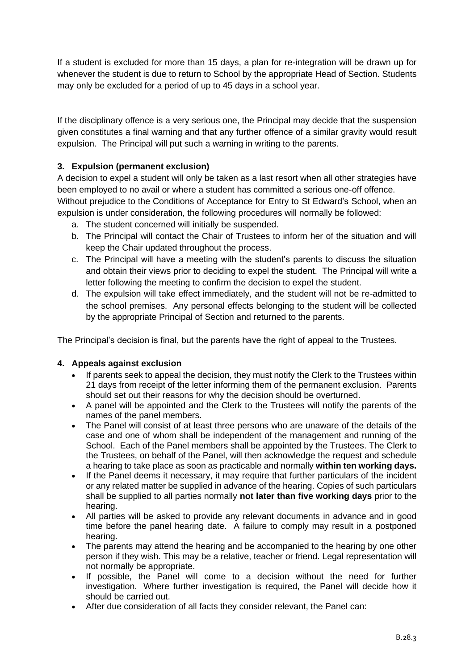If a student is excluded for more than 15 days, a plan for re-integration will be drawn up for whenever the student is due to return to School by the appropriate Head of Section. Students may only be excluded for a period of up to 45 days in a school year.

If the disciplinary offence is a very serious one, the Principal may decide that the suspension given constitutes a final warning and that any further offence of a similar gravity would result expulsion. The Principal will put such a warning in writing to the parents.

### **3. Expulsion (permanent exclusion)**

A decision to expel a student will only be taken as a last resort when all other strategies have been employed to no avail or where a student has committed a serious one-off offence.

Without prejudice to the Conditions of Acceptance for Entry to St Edward's School, when an expulsion is under consideration, the following procedures will normally be followed:

- a. The student concerned will initially be suspended.
- b. The Principal will contact the Chair of Trustees to inform her of the situation and will keep the Chair updated throughout the process.
- c. The Principal will have a meeting with the student's parents to discuss the situation and obtain their views prior to deciding to expel the student. The Principal will write a letter following the meeting to confirm the decision to expel the student.
- d. The expulsion will take effect immediately, and the student will not be re-admitted to the school premises. Any personal effects belonging to the student will be collected by the appropriate Principal of Section and returned to the parents.

The Principal's decision is final, but the parents have the right of appeal to the Trustees.

#### **4. Appeals against exclusion**

- If parents seek to appeal the decision, they must notify the Clerk to the Trustees within 21 days from receipt of the letter informing them of the permanent exclusion. Parents should set out their reasons for why the decision should be overturned.
- A panel will be appointed and the Clerk to the Trustees will notify the parents of the names of the panel members.
- The Panel will consist of at least three persons who are unaware of the details of the case and one of whom shall be independent of the management and running of the School. Each of the Panel members shall be appointed by the Trustees. The Clerk to the Trustees, on behalf of the Panel, will then acknowledge the request and schedule a hearing to take place as soon as practicable and normally **within ten working days.**
- If the Panel deems it necessary, it may require that further particulars of the incident or any related matter be supplied in advance of the hearing. Copies of such particulars shall be supplied to all parties normally **not later than five working days** prior to the hearing.
- All parties will be asked to provide any relevant documents in advance and in good time before the panel hearing date. A failure to comply may result in a postponed hearing.
- The parents may attend the hearing and be accompanied to the hearing by one other person if they wish. This may be a relative, teacher or friend. Legal representation will not normally be appropriate.
- If possible, the Panel will come to a decision without the need for further investigation. Where further investigation is required, the Panel will decide how it should be carried out.
- After due consideration of all facts they consider relevant, the Panel can: